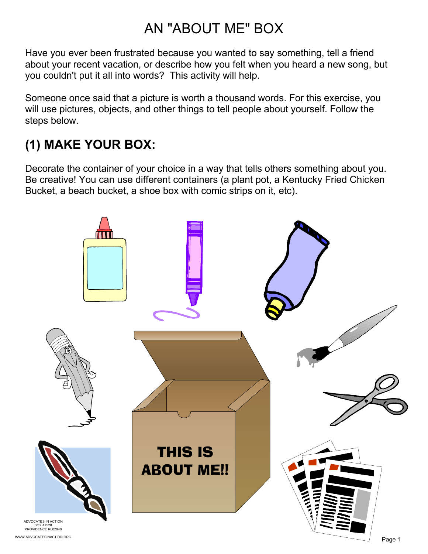## AN "ABOUT ME" BOX

Have you ever been frustrated because you wanted to say something, tell a friend about your recent vacation, or describe how you felt when you heard a new song, but you couldn't put it all into words? This activity will help.

Someone once said that a picture is worth a thousand words. For this exercise, you will use pictures, objects, and other things to tell people about yourself. Follow the steps below.

## **(1) MAKE YOUR BOX:**

Decorate the container of your choice in a way that tells others something about you. Be creative! You can use different containers (a plant pot, a Kentucky Fried Chicken Bucket, a beach bucket, a shoe box with comic strips on it, etc).

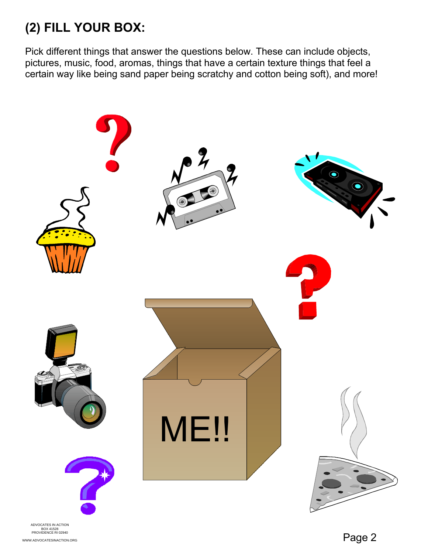# **(2) FILL YOUR BOX:**

Pick different things that answer the questions below. These can include objects, pictures, music, food, aromas, things that have a certain texture things that feel a certain way like being sand paper being scratchy and cotton being soft), and more!

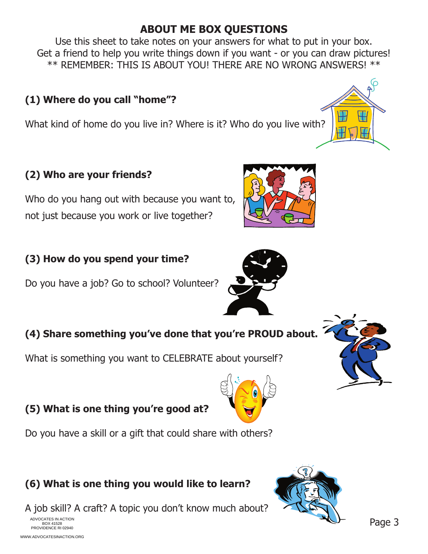#### **ABOUT ME BOX QUESTIONS**

Use this sheet to take notes on your answers for what to put in your box. Get a friend to help you write things down if you want - or you can draw pictures! \*\* REMEMBER: THIS IS ABOUT YOU! THERE ARE NO WRONG ANSWERS! \*\*

#### **(1) Where do you call "home"?**

What kind of home do you live in? Where is it? Who do you live with?

#### **(2) Who are your friends?**

Who do you hang out with because you want to, not just because you work or live together?

#### **(3) How do you spend your time?**

Do you have a job? Go to school? Volunteer?

### **(4) Share something you've done that you're PROUD about.**

What is something you want to CELEBRATE about yourself?

### **(5) What is one thing you're good at?**

Do you have a skill or a gift that could share with others?

### **(6) What is one thing you would like to learn?**

A job skill? A craft? A topic you don't know much about?

ADVOCATES IN ACTION BOX 41528 PROVIDENCE RI 02940